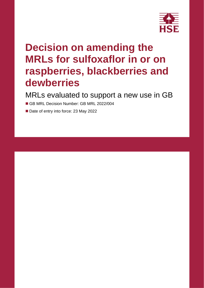

# **Decision on amending the MRLs for sulfoxaflor in or on raspberries, blackberries and dewberries**

MRLs evaluated to support a new use in GB

■ GB MRL Decision Number: GB MRL 2022/004

■ Date of entry into force: 23 May 2022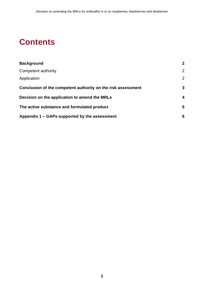## **Contents**

| <b>Background</b>                                            | $\overline{2}$ |  |
|--------------------------------------------------------------|----------------|--|
| Competent authority                                          | $\overline{2}$ |  |
| Application                                                  | $\overline{2}$ |  |
| Conclusion of the competent authority on the risk assessment | 3              |  |
| Decision on the application to amend the MRLs                |                |  |
| The active substance and formulated product                  | 5              |  |
| Appendix 1 – GAPs supported by the assessment                | 6              |  |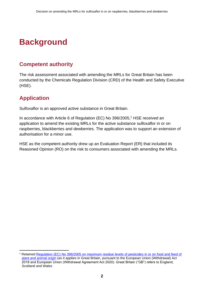## <span id="page-3-0"></span>**Background**

### <span id="page-3-1"></span>**Competent authority**

The risk assessment associated with amending the MRLs for Great Britain has been conducted by the Chemicals Regulation Division (CRD) of the Health and Safety Executive (HSE).

### <span id="page-3-2"></span>**Application**

Sulfoxaflor is an approved active substance in Great Britain.

In accordance with Article 6 of Regulation (EC) No 396/2005, <sup>1</sup> HSE received an application to amend the existing MRLs for the active substance sulfoxaflor in or on raspberries, blackberries and dewberries. The application was to support an extension of authorisation for a minor use.

HSE as the competent authority drew up an Evaluation Report (ER) that included its Reasoned Opinion (RO) on the risk to consumers associated with amending the MRLs.

<sup>1</sup> Retained [Regulation \(EC\) No 396/2005 on maximum residue levels of pesticides in or on food and feed of](https://www.legislation.gov.uk/eur/2005/396/contents)  [plant and animal origin](https://www.legislation.gov.uk/eur/2005/396/contents) (as it applies in Great Britain, pursuant to the European Union (Withdrawal) Act 2018 and European Union (Withdrawal Agreement Act 2020). Great Britain ("GB") refers to England, Scotland and Wales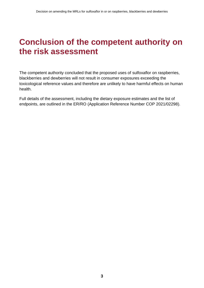### <span id="page-4-0"></span>**Conclusion of the competent authority on the risk assessment**

The competent authority concluded that the proposed uses of sulfoxaflor on raspberries, blackberries and dewberries will not result in consumer exposures exceeding the toxicological reference values and therefore are unlikely to have harmful effects on human health.

Full details of the assessment, including the dietary exposure estimates and the list of endpoints, are outlined in the ER/RO (Application Reference Number COP 2021/02298).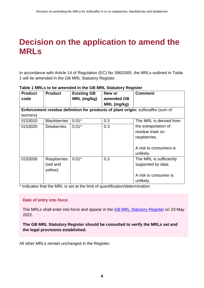### <span id="page-5-0"></span>**Decision on the application to amend the MRLs**

In accordance with Article 14 of Regulation (EC) No 396/2005, the MRLs outlined in Table 1 will be amended in the GB MRL Statutory Register.

| <b>Product</b>                                                                   | <b>Product</b>      | <b>Existing GB</b> | New or      | <b>Comment</b>          |  |  |  |
|----------------------------------------------------------------------------------|---------------------|--------------------|-------------|-------------------------|--|--|--|
| code                                                                             |                     | MRL (mg/kg)        | amended GB  |                         |  |  |  |
|                                                                                  |                     |                    | MRL (mg/kg) |                         |  |  |  |
| Enforcement residue definition for products of plant origin: sulfoxaflor (sum of |                     |                    |             |                         |  |  |  |
| isomers)                                                                         |                     |                    |             |                         |  |  |  |
| 0153010                                                                          | <b>Blackberries</b> | $0.01*$            | 0.3         | The MRL is derived from |  |  |  |
| 0153020                                                                          | <b>Dewberries</b>   | $0.01*$            | 0.3         | the extrapolation of    |  |  |  |
|                                                                                  |                     |                    |             | residue trials on       |  |  |  |
|                                                                                  |                     |                    |             | raspberries.            |  |  |  |
|                                                                                  |                     |                    |             |                         |  |  |  |
|                                                                                  |                     |                    |             | A risk to consumers is  |  |  |  |
|                                                                                  |                     |                    |             | unlikely.               |  |  |  |
| 0153030                                                                          | Raspberries         | $0.01*$            | 0.3         | The MRL is sufficiently |  |  |  |
|                                                                                  | (red and            |                    |             | supported by data.      |  |  |  |
|                                                                                  | yellow)             |                    |             |                         |  |  |  |
|                                                                                  |                     |                    |             | A risk to consumer is   |  |  |  |
|                                                                                  |                     |                    |             | unlikely.               |  |  |  |

#### **Table 1 MRLs to be amended in the GB MRL Statutory Register**

\* Indicates that the MRL is set at the limit of quantification/determination

#### **Date of entry into force**

The MRLs shall enter into force and appear in the [GB MRL Statutory Register](https://secure.pesticides.gov.uk/MRLs/Main) on 23 May 2022.

**The GB MRL Statutory Register should be consulted to verify the MRLs set and the legal provisions established.** 

All other MRLs remain unchanged in the Register.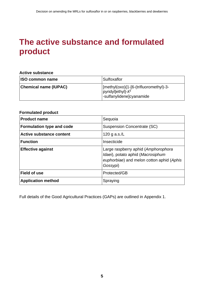### <span id="page-6-0"></span>**The active substance and formulated product**

#### **Active substance**

| <b>ISO common name</b> | Sulfoxaflor                                                                                            |
|------------------------|--------------------------------------------------------------------------------------------------------|
| Chemical name (IUPAC)  | [methyl(oxo){1-[6-(trifluoromethyl)-3-<br>$ pyridy $ ]ethyl}- $\lambda^6$<br> -sulfanylidene]cyanamide |

#### **Formulated product**

| <b>Product name</b>              | Sequoia                                                                                                                           |
|----------------------------------|-----------------------------------------------------------------------------------------------------------------------------------|
| <b>Formulation type and code</b> | Suspension Concentrate (SC)                                                                                                       |
| <b>Active substance content</b>  | 120 g a.s./L                                                                                                                      |
| <b>Function</b>                  | Insecticide                                                                                                                       |
| <b>Effective against</b>         | Large raspberry aphid (Amphorophora<br>Idaei), potato aphid (Macrosiphum<br>euphorbiae) and melon cotton aphid (Aphis<br>Gossypi) |
| <b>Field of use</b>              | Protected/GB                                                                                                                      |
| <b>Application method</b>        | Spraying                                                                                                                          |

Full details of the Good Agricultural Practices (GAPs) are outlined in Appendix 1.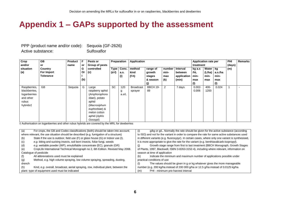### **Appendix 1 – GAPs supported by the assessment**

PPP (product name and/or code): Sequoia (GF-2626) Active substance: Sulfoxaflor

| Crop          | GB               | <b>Product</b> | F.  | Pests or        |           | Preparation | Application      |                 |                |             | <b>Application rate per</b> |        |         | <b>PHI</b> | <b>Remarks</b> |
|---------------|------------------|----------------|-----|-----------------|-----------|-------------|------------------|-----------------|----------------|-------------|-----------------------------|--------|---------|------------|----------------|
| and/or        | or               | name           | or  | Group of pests  |           |             |                  |                 |                |             | treatment                   |        |         | (days)     |                |
| situation     | Country          |                | G   | controlled      |           | Type Conc.  | method           | range of        | number l       | Interval    | kg a.s                      | Water  | kq      | (m)        |                |
| (a)           | For Import       |                | Or  | (c)             | $(d-f)$   | a.s.        | kind             | growth          | min-           | between     | /hL                         | (L/ha) | a.s./ha |            |                |
|               | <b>Tolerance</b> |                |     |                 |           | (i)         | (f-h)            | stages          | max            | application | min-                        | min-   | min-    |            |                |
|               |                  |                | (b) |                 |           |             |                  | & season        | (k)            | (min)       | max                         | max    | max     |            |                |
|               |                  |                |     |                 |           |             |                  | (j)             |                |             | (1)                         |        | (1)     |            |                |
| Raspberries,  | GB               | Sequoia        | G   | Large           | <b>SC</b> | 120         | <b>Broadcast</b> | <b>BBCH 19-</b> | $\overline{2}$ | 7 days      | $0.002 -$                   | 400-   | 0.024   |            |                |
| blackberries, |                  |                |     | raspberry aphid |           | g           | sprayer          | 89              |                |             | 0.006                       | 1200   |         |            |                |
| loganberries  |                  |                |     | (Amphorophora   |           | a.s/L       |                  |                 |                |             |                             |        |         |            |                |
| and other     |                  |                |     | Idaei), potato  |           |             |                  |                 |                |             |                             |        |         |            |                |
| rubus         |                  |                |     | aphid           |           |             |                  |                 |                |             |                             |        |         |            |                |
| hybrids†      |                  |                |     | (Macrosiphum    |           |             |                  |                 |                |             |                             |        |         |            |                |
|               |                  |                |     | euphorbiae) &   |           |             |                  |                 |                |             |                             |        |         |            |                |
|               |                  |                |     | melon cotton    |           |             |                  |                 |                |             |                             |        |         |            |                |
|               |                  |                |     | aphid (Aphis    |           |             |                  |                 |                |             |                             |        |         |            |                |
|               |                  |                |     | Gossypi)        |           |             |                  |                 |                |             |                             |        |         |            |                |

<span id="page-7-0"></span>† Authorisation on loganberries and other rubus hybrids are covered by the MRL for dewberries

| (a)    | For crops, the GB and Codex classifications (both) should be taken into account;       | g/kg or g/L. Normally the rate should be given for the active substance (according<br>(i)          |  |  |  |  |  |
|--------|----------------------------------------------------------------------------------------|----------------------------------------------------------------------------------------------------|--|--|--|--|--|
|        | where relevant, the use situation should be described (e.g. fumigation of a structure) | to ISO) and not for the variant in order to compare the rate for same active substances used       |  |  |  |  |  |
| (b)    | State if the use is outdoor, field use (F) or glass house (G) or indoor use (I).       | in different variants (e.g. fluoroxypyr). In certain cases, where only one variant is synthesised, |  |  |  |  |  |
| (c)    | e.g. biting and sucking insects, soil born insects, foliar fungi, weeds                | it is more appropriate to give the rate for the variant (e.g. benthiavalicarb-isopropyl).          |  |  |  |  |  |
| (d)    | e.g. wettable powder (WP), emulsifiable concentrate (EC), granule (GR)                 | Growth stage range from first to last treatment (BBCH Monograph, Growth Stages                     |  |  |  |  |  |
| (e)    | CropLife International Technical Monograph no 2, 6th Edition. Revised May 2008.        | of Plants, 1997, Blackwell, ISBN 3-8263-3152-4), including where relevant, information on          |  |  |  |  |  |
|        | Catalogue of pesticide                                                                 | season at time of application                                                                      |  |  |  |  |  |
| (f)    | All abbreviations used must be explained                                               | Indicate the minimum and maximum number of applications possible under<br>(k)                      |  |  |  |  |  |
| (g)    | Method, e.g. high volume spraying, low volume spraying, spreading, dusting,            | practical conditions of use                                                                        |  |  |  |  |  |
| drench |                                                                                        | The values should be given in g or kg whatever gives the more manageable<br>(1)                    |  |  |  |  |  |
| (h)    | Kind, e.g. overall, broadcast, aerial spraying, row, individual plant, between the     | number (e.g. 200 kg/ha instead of 200 000 g/ha or 12.5 g/ha instead of 0.0125 kg/ha                |  |  |  |  |  |
|        | plant-type of equipment used must be indicated                                         | PHI - minimum pre-harvest interval<br>(m)                                                          |  |  |  |  |  |